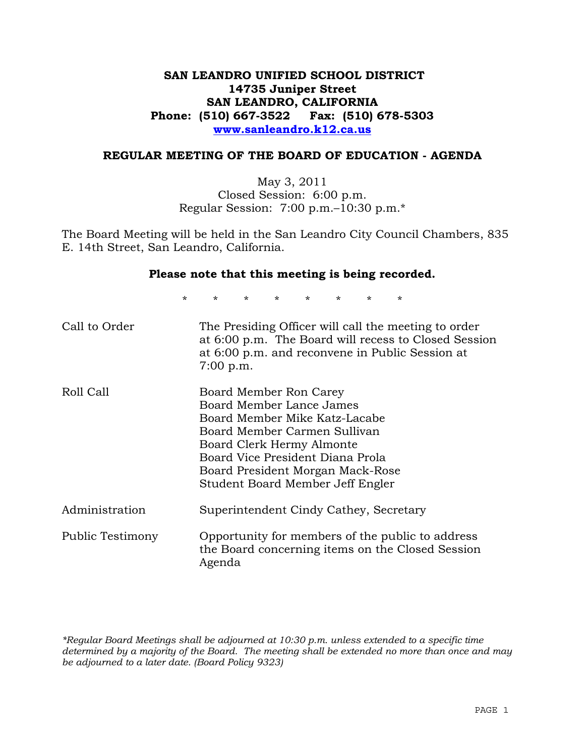# **SAN LEANDRO UNIFIED SCHOOL DISTRICT 14735 Juniper Street SAN LEANDRO, CALIFORNIA Phone: (510) 667-3522 Fax: (510) 678-5303 www.sanleandro.k12.ca.us**

### **REGULAR MEETING OF THE BOARD OF EDUCATION - AGENDA**

May 3, 2011 Closed Session: 6:00 p.m. Regular Session: 7:00 p.m.–10:30 p.m.\*

The Board Meeting will be held in the San Leandro City Council Chambers, 835 E. 14th Street, San Leandro, California.

#### **Please note that this meeting is being recorded.**

\* \* \* \* \* \* \* \*

| Call to Order    | The Presiding Officer will call the meeting to order<br>at 6:00 p.m. The Board will recess to Closed Session<br>at 6:00 p.m. and reconvene in Public Session at<br>$7:00$ p.m.                                                                               |
|------------------|--------------------------------------------------------------------------------------------------------------------------------------------------------------------------------------------------------------------------------------------------------------|
| Roll Call        | Board Member Ron Carey<br>Board Member Lance James<br>Board Member Mike Katz-Lacabe<br>Board Member Carmen Sullivan<br>Board Clerk Hermy Almonte<br>Board Vice President Diana Prola<br>Board President Morgan Mack-Rose<br>Student Board Member Jeff Engler |
| Administration   | Superintendent Cindy Cathey, Secretary                                                                                                                                                                                                                       |
| Public Testimony | Opportunity for members of the public to address<br>the Board concerning items on the Closed Session<br>Agenda                                                                                                                                               |

*\*Regular Board Meetings shall be adjourned at 10:30 p.m. unless extended to a specific time determined by a majority of the Board. The meeting shall be extended no more than once and may be adjourned to a later date. (Board Policy 9323)*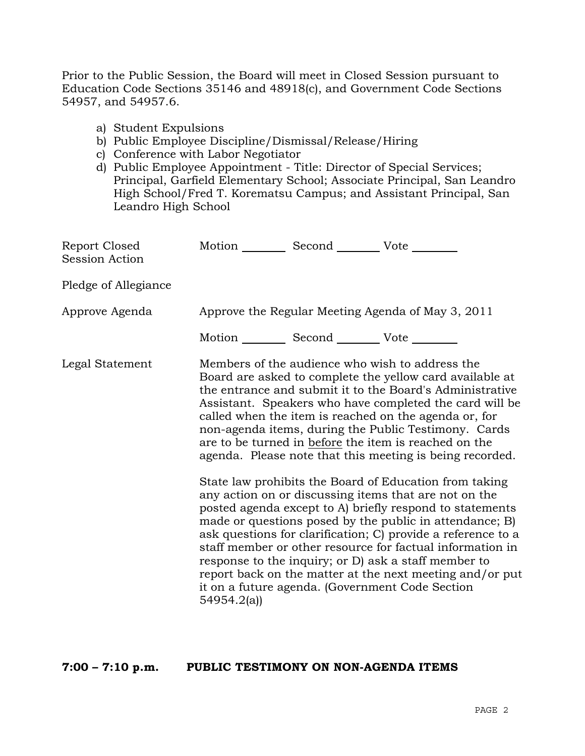Prior to the Public Session, the Board will meet in Closed Session pursuant to Education Code Sections 35146 and 48918(c), and Government Code Sections 54957, and 54957.6.

- a) Student Expulsions
- b) Public Employee Discipline/Dismissal/Release/Hiring
- c) Conference with Labor Negotiator
- d) Public Employee Appointment Title: Director of Special Services; Principal, Garfield Elementary School; Associate Principal, San Leandro High School/Fred T. Korematsu Campus; and Assistant Principal, San Leandro High School

| Report Closed<br>Session Action | Motion __________ Second __________ Vote ________ |                                                                                                                                                                                                                                                                                                                                                                                                                                                                                                                                                                                                                                                                                                                                                                                                                                                                                                                                                                                                                        |
|---------------------------------|---------------------------------------------------|------------------------------------------------------------------------------------------------------------------------------------------------------------------------------------------------------------------------------------------------------------------------------------------------------------------------------------------------------------------------------------------------------------------------------------------------------------------------------------------------------------------------------------------------------------------------------------------------------------------------------------------------------------------------------------------------------------------------------------------------------------------------------------------------------------------------------------------------------------------------------------------------------------------------------------------------------------------------------------------------------------------------|
| Pledge of Allegiance            |                                                   |                                                                                                                                                                                                                                                                                                                                                                                                                                                                                                                                                                                                                                                                                                                                                                                                                                                                                                                                                                                                                        |
| Approve Agenda                  |                                                   | Approve the Regular Meeting Agenda of May 3, 2011                                                                                                                                                                                                                                                                                                                                                                                                                                                                                                                                                                                                                                                                                                                                                                                                                                                                                                                                                                      |
|                                 | Motion __________ Second __________ Vote ________ |                                                                                                                                                                                                                                                                                                                                                                                                                                                                                                                                                                                                                                                                                                                                                                                                                                                                                                                                                                                                                        |
| Legal Statement                 | 54954.2(a)                                        | Members of the audience who wish to address the<br>Board are asked to complete the yellow card available at<br>the entrance and submit it to the Board's Administrative<br>Assistant. Speakers who have completed the card will be<br>called when the item is reached on the agenda or, for<br>non-agenda items, during the Public Testimony. Cards<br>are to be turned in before the item is reached on the<br>agenda. Please note that this meeting is being recorded.<br>State law prohibits the Board of Education from taking<br>any action on or discussing items that are not on the<br>posted agenda except to A) briefly respond to statements<br>made or questions posed by the public in attendance; B)<br>ask questions for clarification; C) provide a reference to a<br>staff member or other resource for factual information in<br>response to the inquiry; or D) ask a staff member to<br>report back on the matter at the next meeting and/or put<br>it on a future agenda. (Government Code Section |

### **7:00 – 7:10 p.m. PUBLIC TESTIMONY ON NON-AGENDA ITEMS**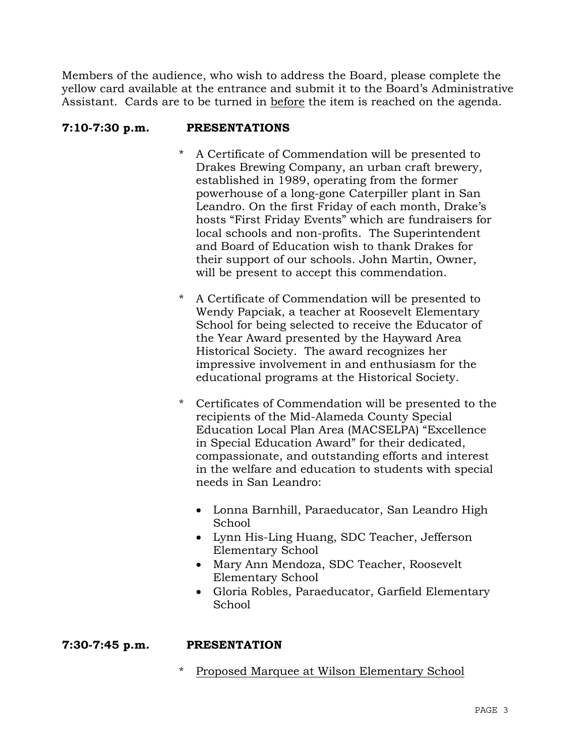Members of the audience, who wish to address the Board, please complete the yellow card available at the entrance and submit it to the Board's Administrative Assistant. Cards are to be turned in before the item is reached on the agenda.

# **7:10-7:30 p.m. PRESENTATIONS**

- A Certificate of Commendation will be presented to Drakes Brewing Company, an urban craft brewery, established in 1989, operating from the former powerhouse of a long-gone Caterpiller plant in San Leandro. On the first Friday of each month, Drake's hosts "First Friday Events" which are fundraisers for local schools and non-profits. The Superintendent and Board of Education wish to thank Drakes for their support of our schools. John Martin, Owner, will be present to accept this commendation.
- \* A Certificate of Commendation will be presented to Wendy Papciak, a teacher at Roosevelt Elementary School for being selected to receive the Educator of the Year Award presented by the Hayward Area Historical Society. The award recognizes her impressive involvement in and enthusiasm for the educational programs at the Historical Society.
- \* Certificates of Commendation will be presented to the recipients of the Mid-Alameda County Special Education Local Plan Area (MACSELPA) "Excellence in Special Education Award" for their dedicated, compassionate, and outstanding efforts and interest in the welfare and education to students with special needs in San Leandro:
	- Lonna Barnhill, Paraeducator, San Leandro High School
	- Lynn His-Ling Huang, SDC Teacher, Jefferson Elementary School
	- Mary Ann Mendoza, SDC Teacher, Roosevelt Elementary School
	- Gloria Robles, Paraeducator, Garfield Elementary School

# **7:30-7:45 p.m. PRESENTATION**

\* Proposed Marquee at Wilson Elementary School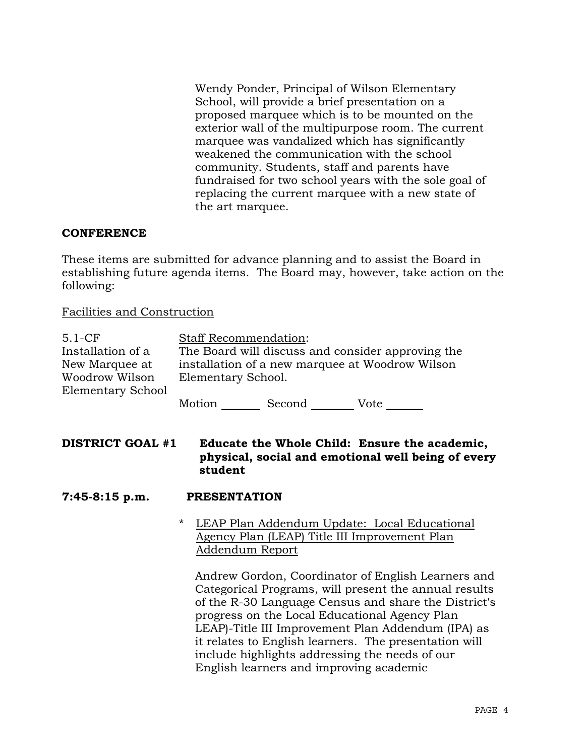Wendy Ponder, Principal of Wilson Elementary School, will provide a brief presentation on a proposed marquee which is to be mounted on the exterior wall of the multipurpose room. The current marquee was vandalized which has significantly weakened the communication with the school community. Students, staff and parents have fundraised for two school years with the sole goal of replacing the current marquee with a new state of the art marquee.

### **CONFERENCE**

These items are submitted for advance planning and to assist the Board in establishing future agenda items. The Board may, however, take action on the following:

### Facilities and Construction

| $5.1-CF$          | <b>Staff Recommendation:</b> |        |                                                   |  |
|-------------------|------------------------------|--------|---------------------------------------------------|--|
| Installation of a |                              |        | The Board will discuss and consider approving the |  |
| New Marquee at    |                              |        | installation of a new marquee at Woodrow Wilson   |  |
| Woodrow Wilson    | Elementary School.           |        |                                                   |  |
| Elementary School |                              |        |                                                   |  |
|                   | Motion                       | Second | Vote                                              |  |

**DISTRICT GOAL #1 Educate the Whole Child: Ensure the academic, physical, social and emotional well being of every student** 

### **7:45-8:15 p.m. PRESENTATION**

### \* LEAP Plan Addendum Update: Local Educational Agency Plan (LEAP) Title III Improvement Plan Addendum Report

 Andrew Gordon, Coordinator of English Learners and Categorical Programs, will present the annual results of the R-30 Language Census and share the District's progress on the Local Educational Agency Plan LEAP)-Title III Improvement Plan Addendum (IPA) as it relates to English learners. The presentation will include highlights addressing the needs of our English learners and improving academic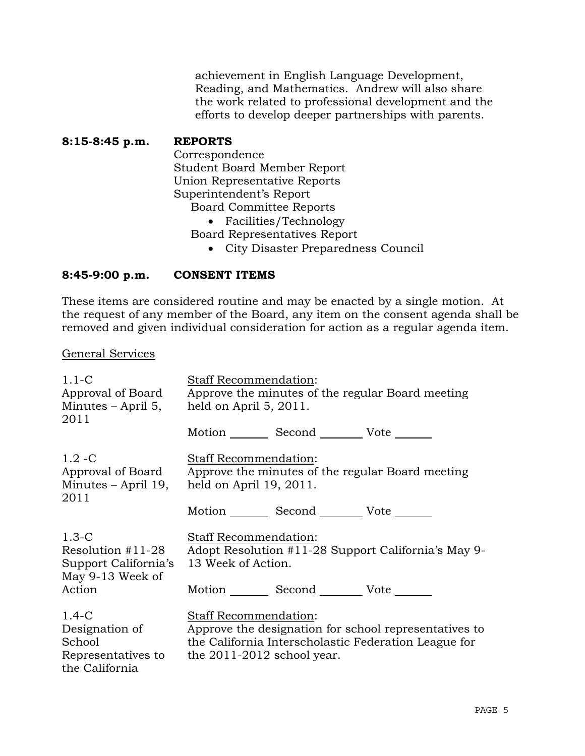achievement in English Language Development, Reading, and Mathematics. Andrew will also share the work related to professional development and the efforts to develop deeper partnerships with parents.

**8:15-8:45 p.m. REPORTS** Correspondence Student Board Member Report Union Representative Reports Superintendent's Report Board Committee Reports Facilities/Technology Board Representatives Report

City Disaster Preparedness Council

# **8:45-9:00 p.m. CONSENT ITEMS**

These items are considered routine and may be enacted by a single motion. At the request of any member of the Board, any item on the consent agenda shall be removed and given individual consideration for action as a regular agenda item.

#### General Services

| $1.1-C$<br>Approval of Board<br>Minutes – April 5,<br>2011                  | <b>Staff Recommendation:</b><br>Approve the minutes of the regular Board meeting<br>held on April 5, 2011.                                                                    |  |  |
|-----------------------------------------------------------------------------|-------------------------------------------------------------------------------------------------------------------------------------------------------------------------------|--|--|
|                                                                             | Motion _________ Second __________ Vote _______                                                                                                                               |  |  |
| $1.2 - C$<br>Approval of Board<br>Minutes - April 19,<br>2011               | Staff Recommendation:<br>Approve the minutes of the regular Board meeting<br>held on April 19, 2011.                                                                          |  |  |
|                                                                             | Motion Second Vote                                                                                                                                                            |  |  |
| $1.3-C$<br>Resolution #11-28<br>Support California's<br>May 9-13 Week of    | Staff Recommendation:<br>Adopt Resolution #11-28 Support California's May 9-<br>13 Week of Action.                                                                            |  |  |
| Action                                                                      | Motion _________ Second __________ Vote _______                                                                                                                               |  |  |
| $1.4-C$<br>Designation of<br>School<br>Representatives to<br>the California | <b>Staff Recommendation:</b><br>Approve the designation for school representatives to<br>the California Interscholastic Federation League for<br>the $2011-2012$ school year. |  |  |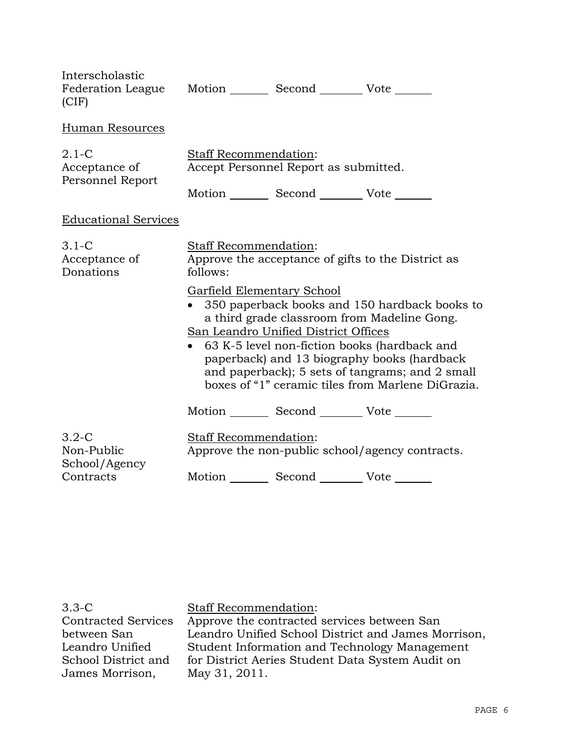| Interscholastic<br>Federation League Motion _________ Second __________ Vote _______<br>(CIF) |                                                                |                                                 |                                                                                                                                                                                                                                                                                                       |
|-----------------------------------------------------------------------------------------------|----------------------------------------------------------------|-------------------------------------------------|-------------------------------------------------------------------------------------------------------------------------------------------------------------------------------------------------------------------------------------------------------------------------------------------------------|
| Human Resources                                                                               |                                                                |                                                 |                                                                                                                                                                                                                                                                                                       |
| $2.1-C$<br>Acceptance of<br>Personnel Report                                                  | Staff Recommendation:<br>Accept Personnel Report as submitted. |                                                 |                                                                                                                                                                                                                                                                                                       |
|                                                                                               |                                                                | Motion _________ Second __________ Vote _______ |                                                                                                                                                                                                                                                                                                       |
| <b>Educational Services</b>                                                                   |                                                                |                                                 |                                                                                                                                                                                                                                                                                                       |
| $3.1-C$<br>Acceptance of<br>Donations                                                         | <b>Staff Recommendation:</b><br>follows:                       |                                                 | Approve the acceptance of gifts to the District as                                                                                                                                                                                                                                                    |
|                                                                                               | <b>Garfield Elementary School</b>                              | San Leandro Unified District Offices            | • 350 paperback books and 150 hardback books to<br>a third grade classroom from Madeline Gong.<br>63 K-5 level non-fiction books (hardback and<br>paperback) and 13 biography books (hardback<br>and paperback); 5 sets of tangrams; and 2 small<br>boxes of "1" ceramic tiles from Marlene DiGrazia. |
|                                                                                               |                                                                | Motion _________ Second __________ Vote _______ |                                                                                                                                                                                                                                                                                                       |
| $3.2 - C$<br>Non-Public<br>School/Agency                                                      | Staff Recommendation:                                          |                                                 | Approve the non-public school/agency contracts.                                                                                                                                                                                                                                                       |
| Contracts                                                                                     |                                                                | Motion Second Vote                              |                                                                                                                                                                                                                                                                                                       |

3.3-C Contracted Services between San Leandro Unified School District and James Morrison,

Staff Recommendation:

Approve the contracted services between San Leandro Unified School District and James Morrison, Student Information and Technology Management for District Aeries Student Data System Audit on May 31, 2011.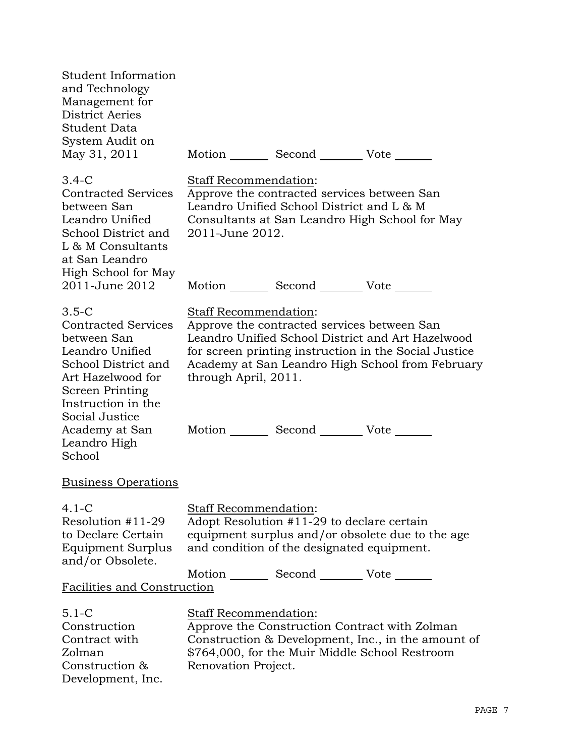| Student Information<br>and Technology<br>Management for<br><b>District Aeries</b><br>Student Data<br>System Audit on<br>May 31, 2011                                                                                                | Motion _________ Second _________ Vote _______                                                                                                                                                                                                                                                                           |
|-------------------------------------------------------------------------------------------------------------------------------------------------------------------------------------------------------------------------------------|--------------------------------------------------------------------------------------------------------------------------------------------------------------------------------------------------------------------------------------------------------------------------------------------------------------------------|
| $3.4 - C$<br><b>Contracted Services</b><br>between San<br>Leandro Unified<br>School District and<br>L & M Consultants<br>at San Leandro<br>High School for May                                                                      | Staff Recommendation:<br>Approve the contracted services between San<br>Leandro Unified School District and L & M<br>Consultants at San Leandro High School for May<br>2011-June 2012.                                                                                                                                   |
| 2011-June 2012                                                                                                                                                                                                                      | Motion _________ Second _________ Vote _______                                                                                                                                                                                                                                                                           |
| $3.5 - C$<br><b>Contracted Services</b><br>between San<br>Leandro Unified<br>School District and<br>Art Hazelwood for<br><b>Screen Printing</b><br>Instruction in the<br>Social Justice<br>Academy at San<br>Leandro High<br>School | <b>Staff Recommendation:</b><br>Approve the contracted services between San<br>Leandro Unified School District and Art Hazelwood<br>for screen printing instruction in the Social Justice<br>Academy at San Leandro High School from February<br>through April, 2011.<br>Motion _________ Second __________ Vote _______ |
| <b>Business Operations</b>                                                                                                                                                                                                          |                                                                                                                                                                                                                                                                                                                          |
| $4.1-C$<br>Resolution $#11-29$<br>to Declare Certain<br>Equipment Surplus<br>and/or Obsolete.<br>Facilities and Construction                                                                                                        | Staff Recommendation:<br>Adopt Resolution #11-29 to declare certain<br>equipment surplus and/or obsolete due to the age<br>and condition of the designated equipment.<br>Motion _________ Second __________ Vote _______                                                                                                 |
| $5.1 - C$<br>Construction<br>Contract with<br>Zolman<br>Construction &<br>Development, Inc.                                                                                                                                         | <b>Staff Recommendation:</b><br>Approve the Construction Contract with Zolman<br>Construction & Development, Inc., in the amount of<br>\$764,000, for the Muir Middle School Restroom<br>Renovation Project.                                                                                                             |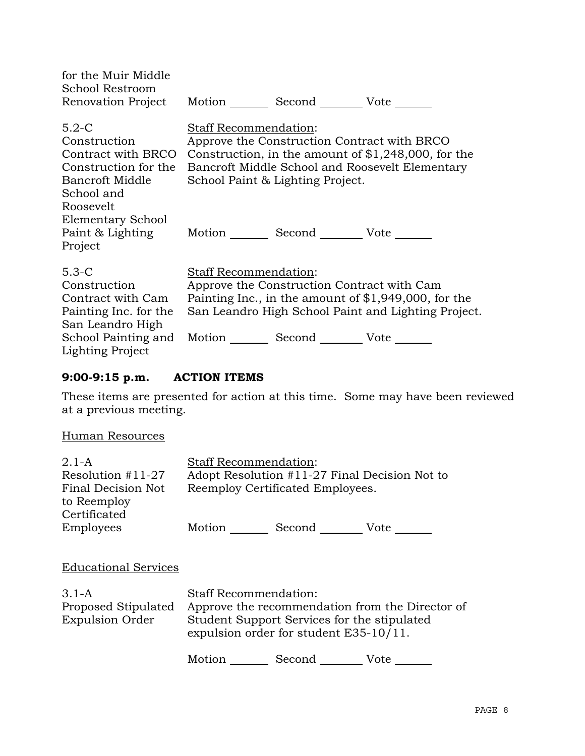| for the Muir Middle<br>School Restroom                                                                                                          | Renovation Project Motion _________ Second __________ Vote _______                                                                                                                                                          |
|-------------------------------------------------------------------------------------------------------------------------------------------------|-----------------------------------------------------------------------------------------------------------------------------------------------------------------------------------------------------------------------------|
| $5.2-C$<br>Construction<br>Contract with BRCO<br>Construction for the<br>Bancroft Middle<br>School and<br>Roosevelt<br><b>Elementary School</b> | <b>Staff Recommendation:</b><br>Approve the Construction Contract with BRCO<br>Construction, in the amount of $$1,248,000$ , for the<br>Bancroft Middle School and Roosevelt Elementary<br>School Paint & Lighting Project. |
| Project                                                                                                                                         | Paint & Lighting Motion _________ Second ___________ Vote ________                                                                                                                                                          |
| $5.3-C$<br>Construction<br>Contract with Cam<br>Painting Inc. for the<br>San Leandro High<br>School Painting and<br><b>Lighting Project</b>     | Staff Recommendation:<br>Approve the Construction Contract with Cam<br>Painting Inc., in the amount of $$1,949,000$ , for the<br>San Leandro High School Paint and Lighting Project.<br>Motion Second Vote                  |

# **9:00-9:15 p.m. ACTION ITEMS**

These items are presented for action at this time. Some may have been reviewed at a previous meeting.

### Human Resources

| $2.1 - A$                                                | <b>Staff Recommendation:</b> |                                                                                       |                                                 |
|----------------------------------------------------------|------------------------------|---------------------------------------------------------------------------------------|-------------------------------------------------|
| Resolution $#11-27$                                      |                              |                                                                                       | Adopt Resolution #11-27 Final Decision Not to   |
| Final Decision Not<br>to Reemploy<br>Certificated        |                              | Reemploy Certificated Employees.                                                      |                                                 |
| Employees                                                |                              | Motion Second Vote                                                                    |                                                 |
| <b>Educational Services</b>                              |                              |                                                                                       |                                                 |
| $3.1-A$<br>Proposed Stipulated<br><b>Expulsion Order</b> | <b>Staff Recommendation:</b> | Student Support Services for the stipulated<br>expulsion order for student E35-10/11. | Approve the recommendation from the Director of |
|                                                          | Motion                       | Second                                                                                | Vote                                            |